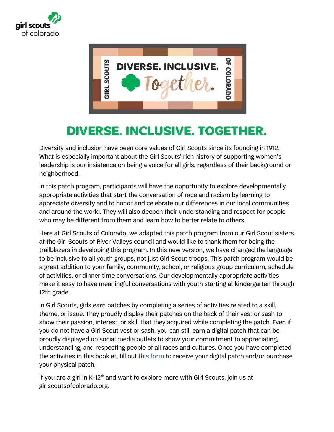



## **DIVERSE. INCLUSIVE. TOGETHER.**

Diversity and inclusion have been core values of Girl Scouts since its founding in 1912. What is especially important about the Girl Scouts' rich history of supporting women's leadership is our insistence on being a voice for all girls, regardless of their background or neighborhood.

In this patch program, participants will have the opportunity to explore developmentally appropriate activities that start the conversation of race and racism by learning to appreciate diversity and to honor and celebrate our differences in our local communities and around the world. They will also deepen their understanding and respect for people who may be different from them and learn how to better relate to others.

Here at Girl Scouts of Colorado, we adapted this patch program from our Girl Scout sisters at the Girl Scouts of River Valleys council and would like to thank them for being the trailblazers in developing this program. In this new version, we have changed the language to be inclusive to all youth groups, not just Girl Scout troops. This patch program would be a great addition to your family, community, school, or religious group curriculum, schedule of activities, or dinner time conversations. Our developmentally appropriate activities make it easy to have meaningful conversations with youth starting at kindergarten through 12th grade.

In Girl Scouts, girls earn patches by completing a series of activities related to a skill, theme, or issue. They proudly display their patches on the back of their vest or sash to show their passion, interest, or skill that they acquired while completing the patch. Even if you do not have a Girl Scout vest or sash, you can still earn a digital patch that can be proudly displayed on social media outlets to show your commitment to appreciating, understanding, and respecting people of all races and cultures. Once you have completed the activities in this booklet, fill out [this form](https://gscolorado.formstack.com/forms/diverse_inclusive_together_patch_paid) to receive your digital patch and/or purchase your physical patch.

If you are a girl in K-12<sup>th</sup> and want to explore more with Girl Scouts, join us at girlscoutsofcolorado.org.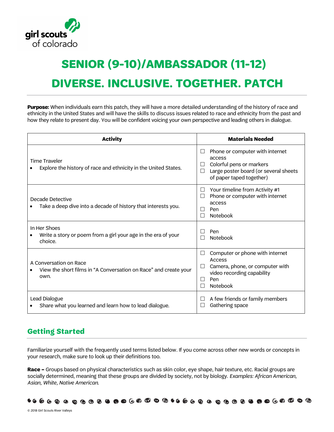

# **DIVERSE. INCLUSIVE. TOGETHER. PATCH SENIOR (9-10)/AMBASSADOR (11-12)**

**Purpose:** When individuals earn this patch, they will have a more detailed understanding of the history of race and ethnicity in the United States and will have the skills to discuss issues related to race and ethnicity from the past and how they relate to present day. You will be confident voicing your own perspective and leading others in dialogue.

| <b>Activity</b>                                                                                    | <b>Materials Needed</b>                                                                                                                                     |
|----------------------------------------------------------------------------------------------------|-------------------------------------------------------------------------------------------------------------------------------------------------------------|
| <b>Time Traveler</b><br>Explore the history of race and ethnicity in the United States.            | Phone or computer with internet<br>$\Box$<br>access<br>Colorful pens or markers<br>Large poster board (or several sheets<br>П<br>of paper taped together)   |
| Decade Detective<br>Take a deep dive into a decade of history that interests you.                  | Your timeline from Activity #1<br>Ш<br>Phone or computer with internet<br>П<br>access<br>Pen<br>Notebook                                                    |
| In Her Shoes<br>Write a story or poem from a girl your age in the era of your<br>choice.           | Pen<br><b>Notebook</b><br>H                                                                                                                                 |
| A Conversation on Race<br>View the short films in "A Conversation on Race" and create your<br>own. | Computer or phone with internet<br>□<br>Access<br>Camera, phone, or computer with<br>$\perp$<br>video recording capability<br>Pen<br>- 1<br>Notebook<br>- 1 |
| Lead Dialogue<br>Share what you learned and learn how to lead dialogue.                            | A few friends or family members<br>$\perp$<br>Gathering space                                                                                               |

### **Getting Started**

Familiarize yourself with the frequently used terms listed below. If you come across other new words or concepts in your research, make sure to look up their definitions too.

**Race –** Groups based on physical characteristics such as skin color, eye shape, hair texture, etc. Racial groups are socially determined, meaning that these groups are divided by society, not by biology. *Examples: African American, Asian, White, Native American*.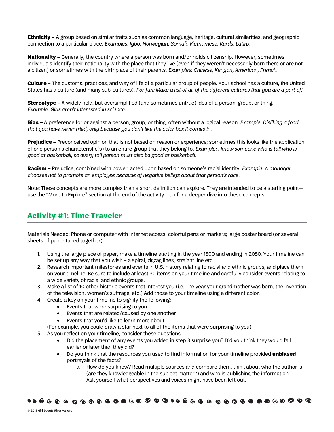**Ethnicity –** A group based on similar traits such as common language, heritage, cultural similarities, and geographic connection to a particular place. *Examples: Igbo, Norwegian, Somali, Vietnamese, Kurds, Latinx*.

**Nationality –** Generally, the country where a person was born and/or holds citizenship. However, sometimes individuals identify their nationality with the place that they live (even if they weren't necessarily born there or are not a citizen) or sometimes with the birthplace of their parents. *Examples: Chinese, Kenyan, American, French*.

**Culture** – The customs, practices, and way of life of a particular group of people. Your school has a culture, the United States has a culture (and many sub-cultures). *For fun: Make a list of all of the different cultures that you are a part of!*

**Stereotype –** A widely held, but oversimplified (and sometimes untrue) idea of a person, group, or thing. *Example: Girls aren't interested in science.* 

**Bias –** A preference for or against a person, group, or thing, often without a logical reason. *Example: Disliking a food that you have never tried, only because you don't like the color box it comes in.*

**Prejudice –** Preconceived opinion that is not based on reason or experience; sometimes this looks like the application of one person's characteristic(s) to an entire group that they belong to. *Example: I know someone who is tall who is good at basketball, so every tall person must also be good at basketball.* 

**Racism –** Prejudice, combined with power, acted upon based on someone's racial identity. *Example: A manager chooses not to promote an employee because of negative beliefs about that person's race.* 

Note: These concepts are more complex than a short definition can explore. They are intended to be a starting point use the "More to Explore" section at the end of the activity plan for a deeper dive into these concepts.

#### **Activity #1: Time Traveler**

Materials Needed: Phone or computer with Internet access; colorful pens or markers; large poster board (or several sheets of paper taped together)

- 1. Using the large piece of paper, make a timeline starting in the year 1500 and ending in 2050. Your timeline can be set up any way that you wish – a spiral, zigzag lines, straight line etc.
- 2. Research important milestones and events in U.S. history relating to racial and ethnic groups, and place them on your timeline. Be sure to include at least 30 items on your timeline and carefully consider events relating to a wide variety of racial and ethnic groups.
- 3. Make a list of 10 other historic events that interest you (i.e. The year your grandmother was born, the invention of the television, women's suffrage, etc.) Add those to your timeline using a different color.
- 4. Create a key on your timeline to signify the following:
	- Events that were surprising to you
	- Events that are related/caused by one another
	- Events that you'd like to learn more about
	- (For example, you could draw a star next to all of the items that were surprising to you)
- 5. As you reflect on your timeline, consider these questions:
	- Did the placement of any events you added in step 3 surprise you? Did you think they would fall earlier or later than they did?
	- Do you think that the resources you used to find information for your timeline provided **unbiased** portrayals of the facts?
		- a. How do you know? Read multiple sources and compare them, think about who the author is (are they knowledgeable in the subject matter?) and who is publishing the information. Ask yourself what perspectives and voices might have been left out.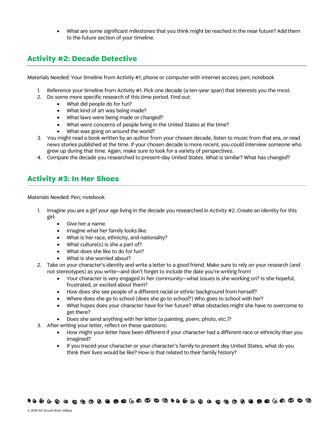• What are some significant milestones that you think might be reached in the near future? Add them to the future section of your timeline.

#### **Activity #2: Decade Detective**

Materials Needed: Your timeline from Activity #1; phone or computer with Internet access; pen; notebook

- 1. Reference your timeline from Activity #1. Pick one decade (a ten-year span) that interests you the most.
- 2. Do some more specific research of this time period. Find out:
	- What did people do for fun?
	- What kind of art was being made?
	- What laws were being made or changed?
	- What were concerns of people living in the United States at the time?
	- What was going on around the world?
- 3. You might read a book written by an author from your chosen decade, listen to music from that era, or read news stories published at the time. If your chosen decade is more recent, you could interview someone who grew up during that time. Again, make sure to look for a variety of perspectives.
- 4. Compare the decade you researched to present-day United States. What is similar? What has changed?

#### **Activity #3: In Her Shoes**

Materials Needed: Pen; notebook

- 1. Imagine you are a girl your age living in the decade you researched in Activity #2. Create an identity for this girl:
	- Give her a name.
	- Imagine what her family looks like.
	- What is her race, ethnicity, and nationality?
	- What culture $(s)$  is she a part of?
	- What does she like to do for fun?
	- What is she worried about?
- 2. Take on your character's identity and write a letter to a good friend. Make sure to rely on your research (and not stereotypes) as you write—and don't forget to include the date you're writing from!
	- Your character is very engaged in her community—what issues is she working on? Is she hopeful, frustrated, or excited about them?
	- How does she see people of a different racial or ethnic background from herself?
	- Where does she go to school (does she go to school?) Who goes to school with her?
	- What hopes does your character have for her future? What obstacles might she have to overcome to get there?
	- Does she send anything with her letter (a painting, poem, photo, etc.)?
- 3. After writing your letter, reflect on these questions:
	- How might your letter have been different if your character had a different race or ethnicity than you imagined?
	- If you traced your character or your character's family to present day United States, what do you think their lives would be like? How is that related to their family history?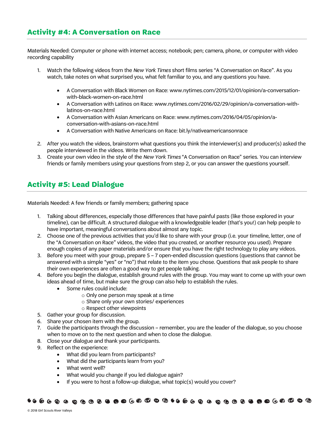#### **Activity #4: A Conversation on Race**

Materials Needed: Computer or phone with internet access; notebook; pen; camera, phone, or computer with video recording capability

- 1. Watch the following videos from the *New York Times* short films series "A Conversation on Race"*.* As you watch, take notes on what surprised you, what felt familiar to you, and any questions you have.
	- A Conversation with Black Women on Race: www.nytimes.com/2015/12/01/opinion/a-conversationwith-black-women-on-race.html
	- A Conversation with Latinos on Race: www.nytimes.com/2016/02/29/opinion/a-conversation-withlatinos-on-race.html
	- A Conversation with Asian Americans on Race: www.nytimes.com/2016/04/05/opinion/aconversation-with-asians-on-race.html
	- A Conversation with Native Americans on Race: bit.ly/nativeamericansonrace
- 2. After you watch the videos, brainstorm what questions you think the interviewer(s) and producer(s) asked the people interviewed in the videos. Write them down.
- 3. Create your own video in the style of the *New York Times* "A Conversation on Race" series. You can interview friends or family members using your questions from step 2, or you can answer the questions yourself.

#### **Activity #5: Lead Dialogue**

Materials Needed: A few friends or family members; gathering space

- 1. Talking about differences, especially those differences that have painful pasts (like those explored in your timeline), can be difficult. A structured dialogue with a knowledgeable leader (that's you!) can help people to have important, meaningful conversations about almost any topic.
- 2. Choose one of the previous activities that you'd like to share with your group (i.e. your timeline, letter, one of the "A Conversation on Race" videos, the video that you created, or another resource you used). Prepare enough copies of any paper materials and/or ensure that you have the right technology to play any videos.
- 3. Before you meet with your group, prepare 5 7 open-ended discussion questions (questions that cannot be answered with a simple "yes" or "no") that relate to the item you chose. Questions that ask people to share their own experiences are often a good way to get people talking.
- 4. Before you begin the dialogue, establish ground rules with the group. You may want to come up with your own ideas ahead of time, but make sure the group can also help to establish the rules.
	- Some rules could include:
		- o Only one person may speak at a time
		- o Share only your own stories/ experiences
		- o Respect other viewpoints
- 5. Gather your group for discussion.
- 6. Share your chosen item with the group.
- 7. Guide the participants through the discussion remember, you are the leader of the dialogue, so you choose when to move on to the next question and when to close the dialogue.
- 8. Close your dialogue and thank your participants.
- 9. Reflect on the experience:
	- What did you learn from participants?
	- What did the participants learn from you?
	- What went well?
	- What would you change if you led dialogue again?
	- If you were to host a follow-up dialogue, what topic(s) would you cover?

####